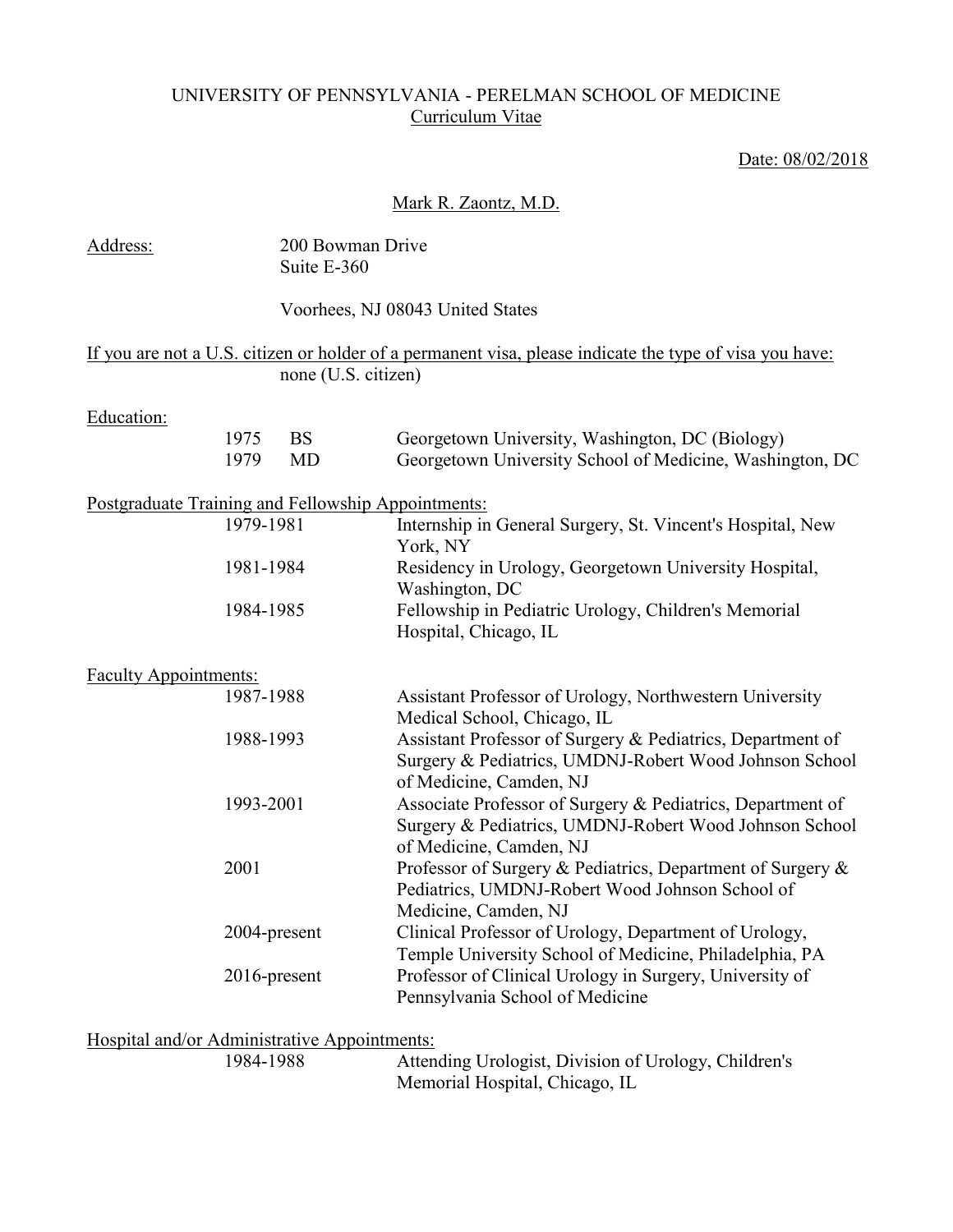## UNIVERSITY OF PENNSYLVANIA - PERELMAN SCHOOL OF MEDICINE Curriculum Vitae

## Date: 08/02/2018

### Mark R. Zaontz, M.D.

| Address:                                           |              | 200 Bowman Drive<br>Suite E-360 |                                                                                                                                                 |
|----------------------------------------------------|--------------|---------------------------------|-------------------------------------------------------------------------------------------------------------------------------------------------|
|                                                    |              |                                 | Voorhees, NJ 08043 United States                                                                                                                |
|                                                    |              | none (U.S. citizen)             | If you are not a U.S. citizen or holder of a permanent visa, please indicate the type of visa you have:                                         |
| Education:                                         |              |                                 |                                                                                                                                                 |
|                                                    | 1975<br>1979 | <b>BS</b><br>MD                 | Georgetown University, Washington, DC (Biology)<br>Georgetown University School of Medicine, Washington, DC                                     |
| Postgraduate Training and Fellowship Appointments: |              |                                 |                                                                                                                                                 |
|                                                    | 1979-1981    |                                 | Internship in General Surgery, St. Vincent's Hospital, New<br>York, NY                                                                          |
|                                                    | 1981-1984    |                                 | Residency in Urology, Georgetown University Hospital,<br>Washington, DC                                                                         |
|                                                    | 1984-1985    |                                 | Fellowship in Pediatric Urology, Children's Memorial<br>Hospital, Chicago, IL                                                                   |
| <b>Faculty Appointments:</b>                       |              |                                 |                                                                                                                                                 |
|                                                    | 1987-1988    |                                 | Assistant Professor of Urology, Northwestern University<br>Medical School, Chicago, IL                                                          |
|                                                    | 1988-1993    |                                 | Assistant Professor of Surgery & Pediatrics, Department of<br>Surgery & Pediatrics, UMDNJ-Robert Wood Johnson School<br>of Medicine, Camden, NJ |
|                                                    | 1993-2001    |                                 | Associate Professor of Surgery & Pediatrics, Department of<br>Surgery & Pediatrics, UMDNJ-Robert Wood Johnson School<br>of Medicine, Camden, NJ |
|                                                    | 2001         |                                 | Professor of Surgery & Pediatrics, Department of Surgery &<br>Pediatrics, UMDNJ-Robert Wood Johnson School of<br>Medicine, Camden, NJ           |
|                                                    | 2004-present |                                 | Clinical Professor of Urology, Department of Urology,<br>Temple University School of Medicine, Philadelphia, PA                                 |
|                                                    | 2016-present |                                 | Professor of Clinical Urology in Surgery, University of<br>Pennsylvania School of Medicine                                                      |

# Hospital and/or Administrative Appointments:<br>1984-1988 Attend

Attending Urologist, Division of Urology, Children's Memorial Hospital, Chicago, IL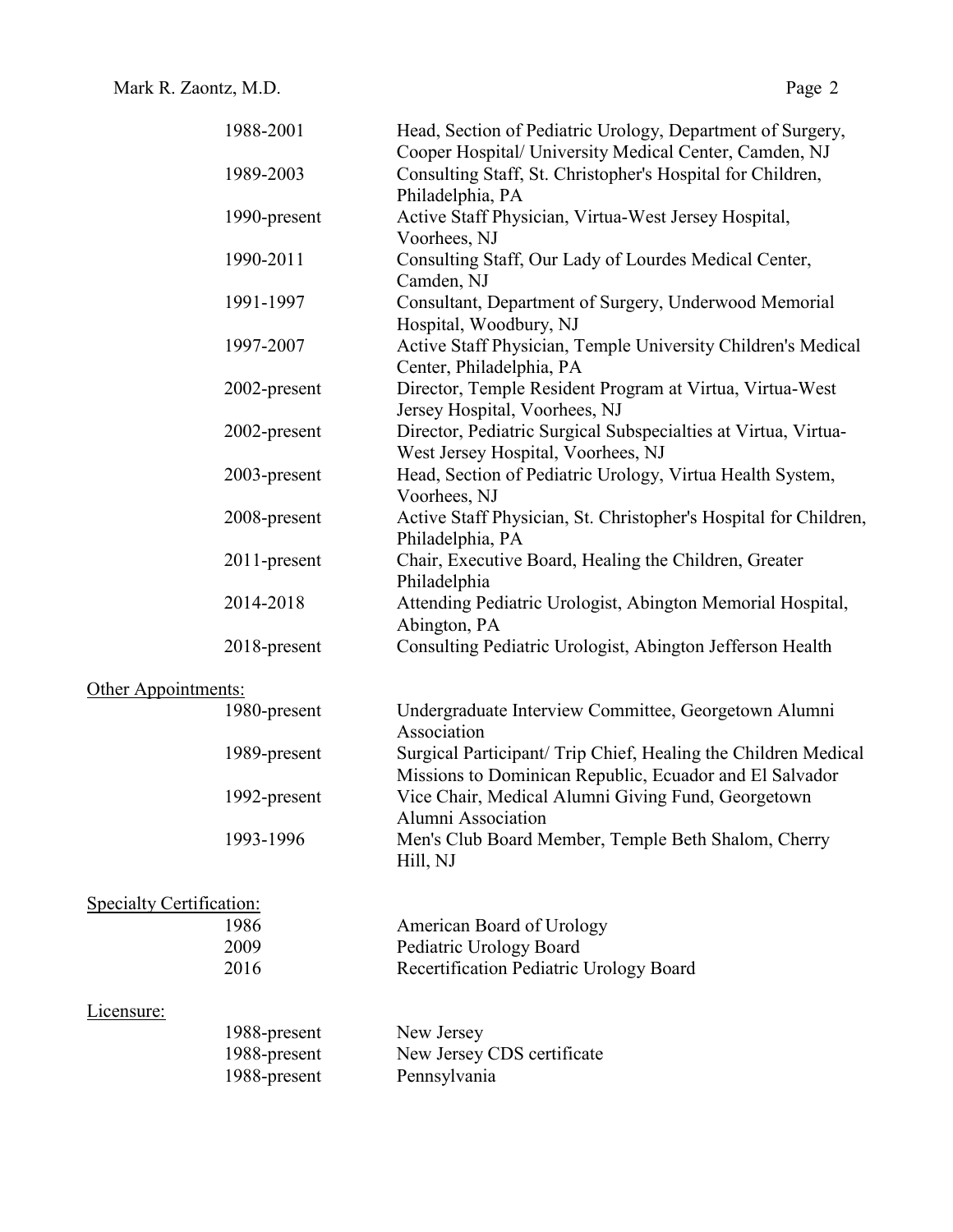|                                 | 1988-2001    | Head, Section of Pediatric Urology, Department of Surgery,<br>Cooper Hospital/ University Medical Center, Camden, NJ      |
|---------------------------------|--------------|---------------------------------------------------------------------------------------------------------------------------|
|                                 | 1989-2003    | Consulting Staff, St. Christopher's Hospital for Children,<br>Philadelphia, PA                                            |
|                                 | 1990-present | Active Staff Physician, Virtua-West Jersey Hospital,<br>Voorhees, NJ                                                      |
|                                 | 1990-2011    | Consulting Staff, Our Lady of Lourdes Medical Center,<br>Camden, NJ                                                       |
|                                 | 1991-1997    | Consultant, Department of Surgery, Underwood Memorial<br>Hospital, Woodbury, NJ                                           |
|                                 | 1997-2007    | Active Staff Physician, Temple University Children's Medical<br>Center, Philadelphia, PA                                  |
|                                 | 2002-present | Director, Temple Resident Program at Virtua, Virtua-West<br>Jersey Hospital, Voorhees, NJ                                 |
|                                 | 2002-present | Director, Pediatric Surgical Subspecialties at Virtua, Virtua-<br>West Jersey Hospital, Voorhees, NJ                      |
|                                 | 2003-present | Head, Section of Pediatric Urology, Virtua Health System,<br>Voorhees, NJ                                                 |
|                                 | 2008-present | Active Staff Physician, St. Christopher's Hospital for Children,<br>Philadelphia, PA                                      |
|                                 | 2011-present | Chair, Executive Board, Healing the Children, Greater<br>Philadelphia                                                     |
|                                 | 2014-2018    | Attending Pediatric Urologist, Abington Memorial Hospital,<br>Abington, PA                                                |
|                                 | 2018-present | Consulting Pediatric Urologist, Abington Jefferson Health                                                                 |
| Other Appointments:             |              |                                                                                                                           |
|                                 | 1980-present | Undergraduate Interview Committee, Georgetown Alumni<br>Association                                                       |
|                                 | 1989-present | Surgical Participant/ Trip Chief, Healing the Children Medical<br>Missions to Dominican Republic, Ecuador and El Salvador |
|                                 | 1992-present | Vice Chair, Medical Alumni Giving Fund, Georgetown<br>Alumni Association                                                  |
|                                 | 1993-1996    | Men's Club Board Member, Temple Beth Shalom, Cherry<br>Hill, NJ                                                           |
| <b>Specialty Certification:</b> |              |                                                                                                                           |
|                                 | 1986         | American Board of Urology                                                                                                 |
|                                 | 2009         | Pediatric Urology Board                                                                                                   |
|                                 | 2016         | Recertification Pediatric Urology Board                                                                                   |
| Licensure:                      |              |                                                                                                                           |
|                                 | 1988-present | New Jersey                                                                                                                |
|                                 | 1988-present | New Jersey CDS certificate                                                                                                |
|                                 | 1988-present | Pennsylvania                                                                                                              |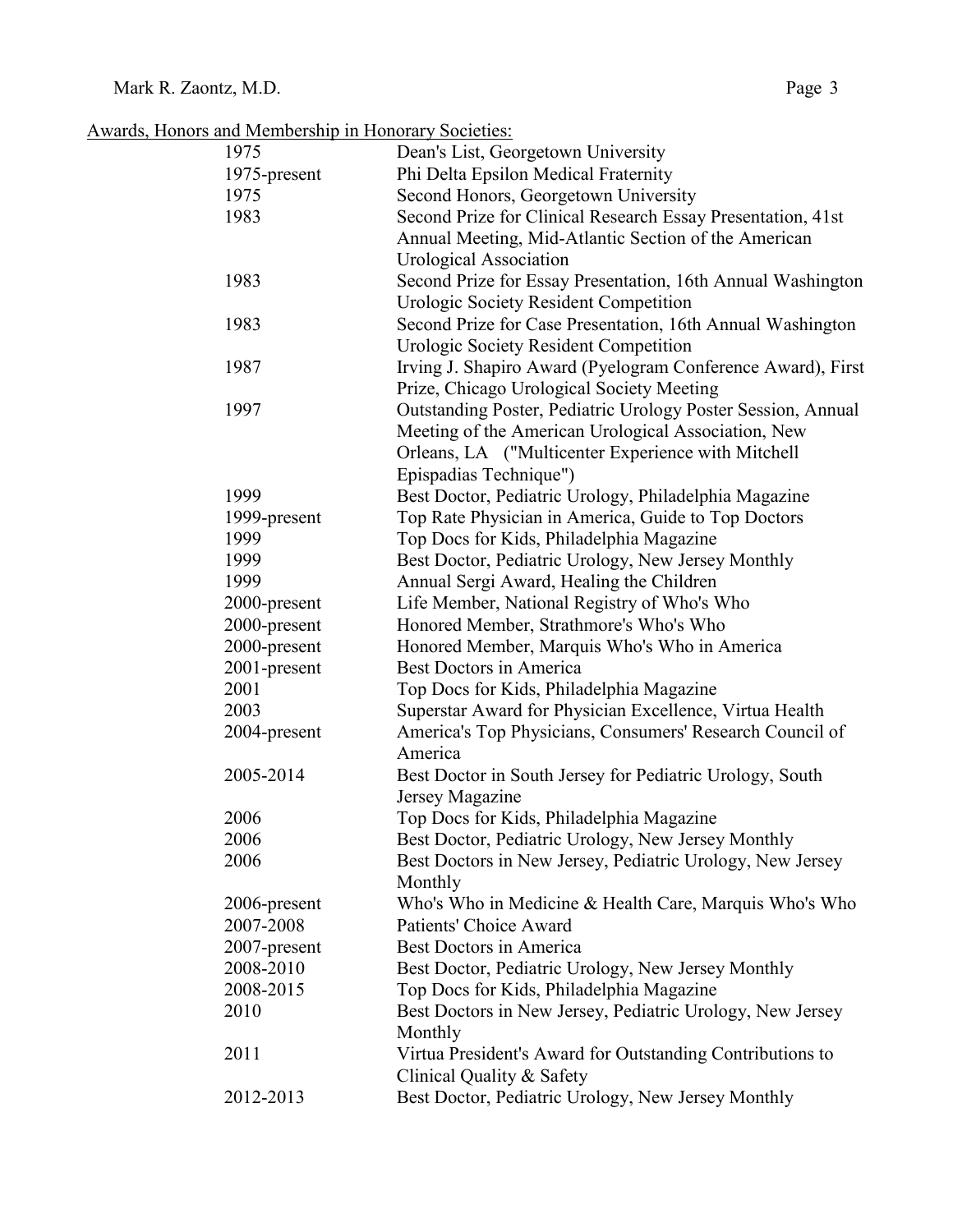| Awards, Honors and Membership in Honorary Societies: |  |  |  |  |  |
|------------------------------------------------------|--|--|--|--|--|
|                                                      |  |  |  |  |  |

| 1975         | Dean's List, Georgetown University                           |
|--------------|--------------------------------------------------------------|
| 1975-present | Phi Delta Epsilon Medical Fraternity                         |
| 1975         | Second Honors, Georgetown University                         |
| 1983         | Second Prize for Clinical Research Essay Presentation, 41st  |
|              | Annual Meeting, Mid-Atlantic Section of the American         |
|              | <b>Urological Association</b>                                |
| 1983         | Second Prize for Essay Presentation, 16th Annual Washington  |
|              | <b>Urologic Society Resident Competition</b>                 |
| 1983         | Second Prize for Case Presentation, 16th Annual Washington   |
|              | Urologic Society Resident Competition                        |
| 1987         | Irving J. Shapiro Award (Pyelogram Conference Award), First  |
|              | Prize, Chicago Urological Society Meeting                    |
| 1997         | Outstanding Poster, Pediatric Urology Poster Session, Annual |
|              | Meeting of the American Urological Association, New          |
|              | Orleans, LA ("Multicenter Experience with Mitchell           |
|              | Epispadias Technique")                                       |
| 1999         | Best Doctor, Pediatric Urology, Philadelphia Magazine        |
| 1999-present | Top Rate Physician in America, Guide to Top Doctors          |
| 1999         | Top Docs for Kids, Philadelphia Magazine                     |
| 1999         | Best Doctor, Pediatric Urology, New Jersey Monthly           |
| 1999         | Annual Sergi Award, Healing the Children                     |
| 2000-present | Life Member, National Registry of Who's Who                  |
| 2000-present | Honored Member, Strathmore's Who's Who                       |
| 2000-present | Honored Member, Marquis Who's Who in America                 |
| 2001-present | <b>Best Doctors in America</b>                               |
| 2001         | Top Docs for Kids, Philadelphia Magazine                     |
| 2003         | Superstar Award for Physician Excellence, Virtua Health      |
| 2004-present | America's Top Physicians, Consumers' Research Council of     |
|              | America                                                      |
| 2005-2014    | Best Doctor in South Jersey for Pediatric Urology, South     |
|              | Jersey Magazine                                              |
| 2006         | Top Docs for Kids, Philadelphia Magazine                     |
| 2006         | Best Doctor, Pediatric Urology, New Jersey Monthly           |
| 2006         | Best Doctors in New Jersey, Pediatric Urology, New Jersey    |
|              | Monthly                                                      |
| 2006-present | Who's Who in Medicine & Health Care, Marquis Who's Who       |
| 2007-2008    | Patients' Choice Award                                       |
| 2007-present | Best Doctors in America                                      |
| 2008-2010    | Best Doctor, Pediatric Urology, New Jersey Monthly           |
| 2008-2015    | Top Docs for Kids, Philadelphia Magazine                     |
| 2010         | Best Doctors in New Jersey, Pediatric Urology, New Jersey    |
|              | Monthly                                                      |
| 2011         | Virtua President's Award for Outstanding Contributions to    |
|              | Clinical Quality & Safety                                    |
| 2012-2013    | Best Doctor, Pediatric Urology, New Jersey Monthly           |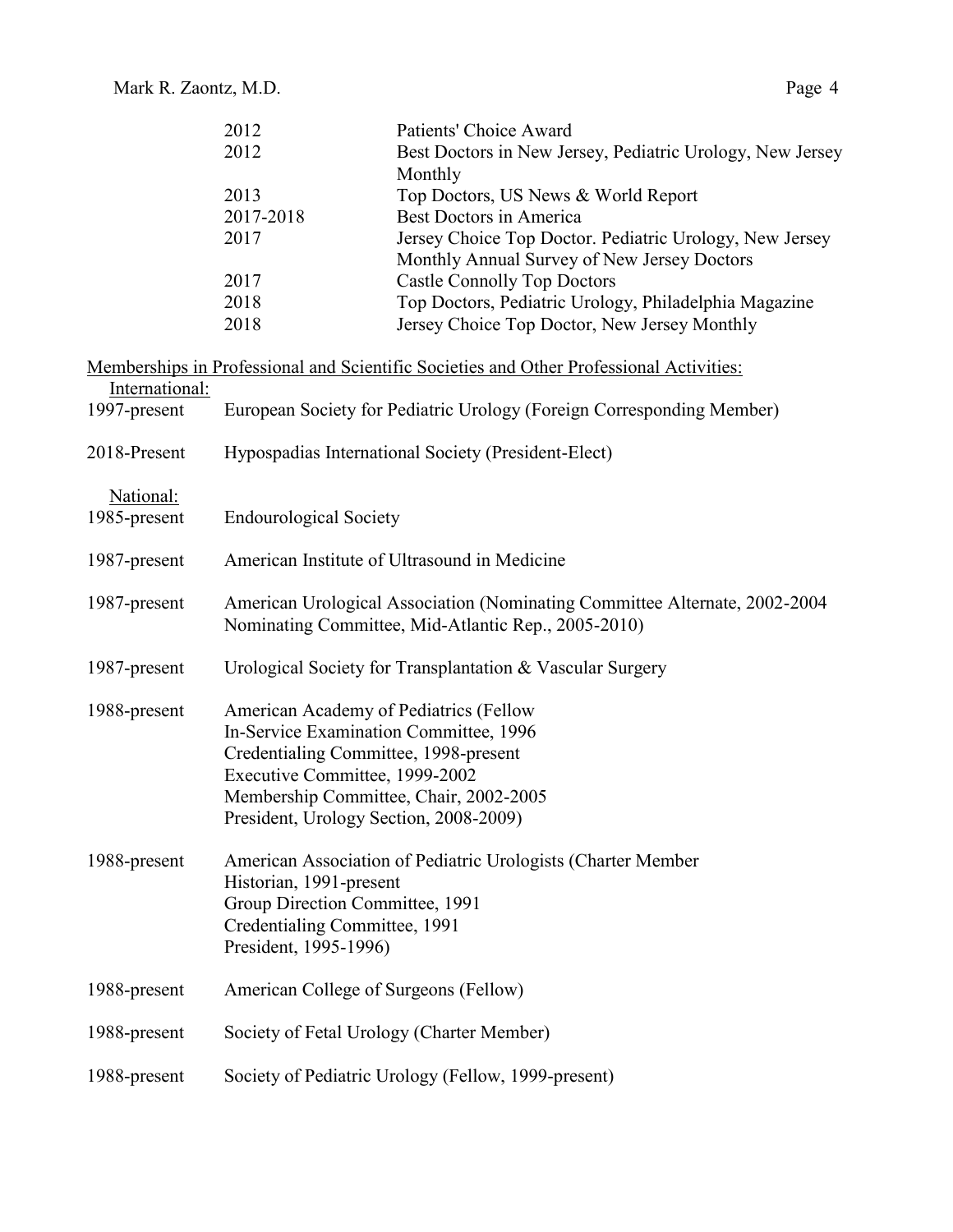|                           | 2012                                   | Patients' Choice Award                                                                  |
|---------------------------|----------------------------------------|-----------------------------------------------------------------------------------------|
|                           | 2012                                   | Best Doctors in New Jersey, Pediatric Urology, New Jersey                               |
|                           |                                        | Monthly                                                                                 |
|                           | 2013                                   | Top Doctors, US News & World Report                                                     |
|                           | 2017-2018                              | <b>Best Doctors in America</b>                                                          |
|                           | 2017                                   | Jersey Choice Top Doctor. Pediatric Urology, New Jersey                                 |
|                           |                                        | Monthly Annual Survey of New Jersey Doctors                                             |
|                           | 2017                                   | <b>Castle Connolly Top Doctors</b>                                                      |
|                           | 2018                                   | Top Doctors, Pediatric Urology, Philadelphia Magazine                                   |
|                           | 2018                                   | Jersey Choice Top Doctor, New Jersey Monthly                                            |
|                           |                                        | Memberships in Professional and Scientific Societies and Other Professional Activities: |
| International:            |                                        |                                                                                         |
| 1997-present              |                                        | European Society for Pediatric Urology (Foreign Corresponding Member)                   |
| 2018-Present              |                                        | Hypospadias International Society (President-Elect)                                     |
|                           |                                        |                                                                                         |
| National:<br>1985-present | <b>Endourological Society</b>          |                                                                                         |
|                           |                                        |                                                                                         |
| 1987-present              |                                        | American Institute of Ultrasound in Medicine                                            |
| 1987-present              |                                        | American Urological Association (Nominating Committee Alternate, 2002-2004              |
|                           |                                        | Nominating Committee, Mid-Atlantic Rep., 2005-2010)                                     |
| 1987-present              |                                        | Urological Society for Transplantation & Vascular Surgery                               |
| 1988-present              | American Academy of Pediatrics (Fellow |                                                                                         |
|                           | In-Service Examination Committee, 1996 |                                                                                         |
|                           | Credentialing Committee, 1998-present  |                                                                                         |
|                           | Executive Committee, 1999-2002         |                                                                                         |
|                           |                                        | Membership Committee, Chair, 2002-2005                                                  |
|                           | President, Urology Section, 2008-2009) |                                                                                         |
| 1988-present              |                                        | American Association of Pediatric Urologists (Charter Member                            |
|                           | Historian, 1991-present                |                                                                                         |
|                           | Group Direction Committee, 1991        |                                                                                         |
|                           | Credentialing Committee, 1991          |                                                                                         |
|                           | President, 1995-1996)                  |                                                                                         |
| 1988-present              | American College of Surgeons (Fellow)  |                                                                                         |
| 1988-present              |                                        | Society of Fetal Urology (Charter Member)                                               |
| 1988-present              |                                        | Society of Pediatric Urology (Fellow, 1999-present)                                     |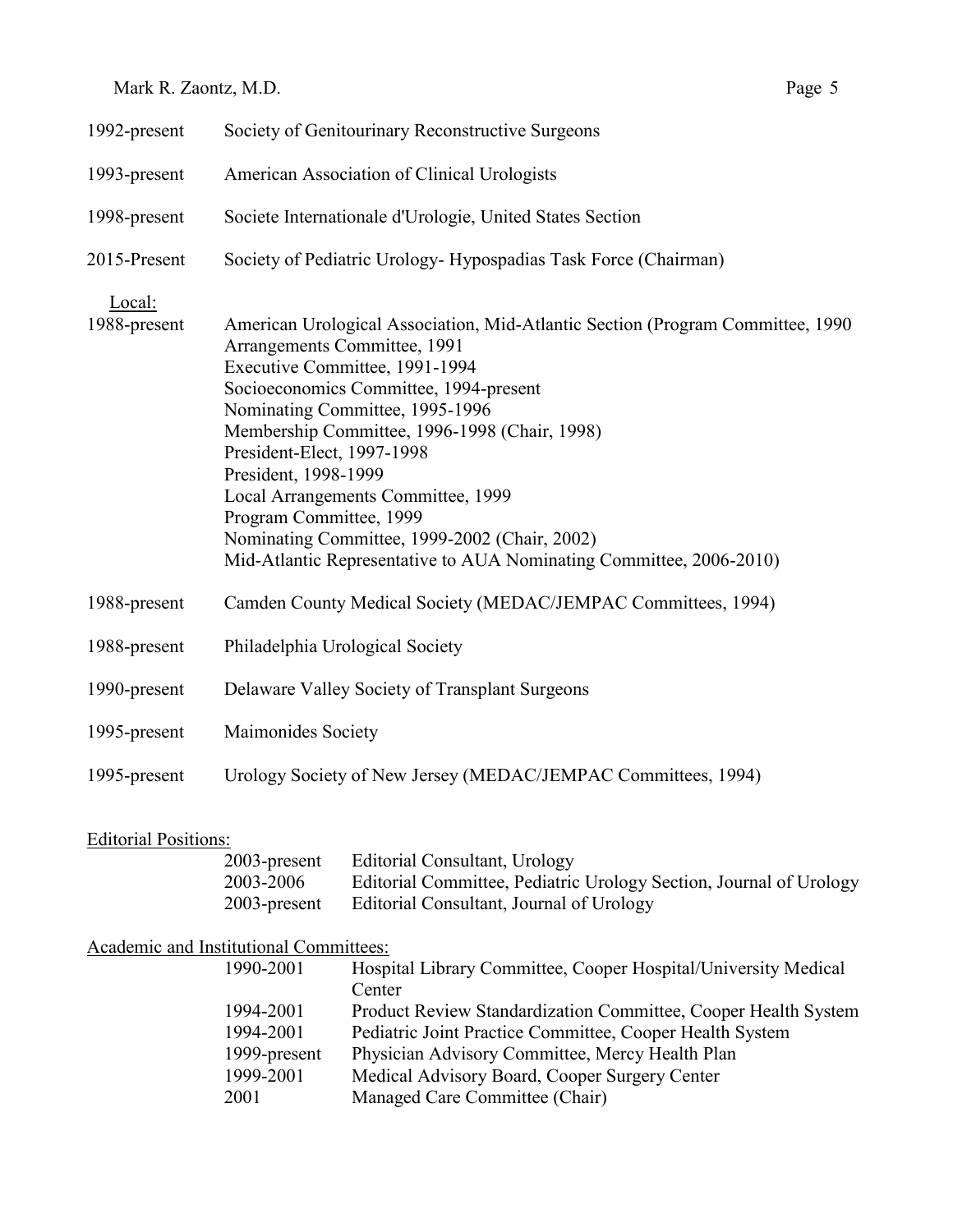| 1992-present                | Society of Genitourinary Reconstructive Surgeons                                                                                                                                   |                                                                                                                                                                                                                                                                                                                                              |  |  |  |
|-----------------------------|------------------------------------------------------------------------------------------------------------------------------------------------------------------------------------|----------------------------------------------------------------------------------------------------------------------------------------------------------------------------------------------------------------------------------------------------------------------------------------------------------------------------------------------|--|--|--|
| 1993-present                | American Association of Clinical Urologists                                                                                                                                        |                                                                                                                                                                                                                                                                                                                                              |  |  |  |
| 1998-present                | Societe Internationale d'Urologie, United States Section                                                                                                                           |                                                                                                                                                                                                                                                                                                                                              |  |  |  |
| 2015-Present                |                                                                                                                                                                                    | Society of Pediatric Urology- Hypospadias Task Force (Chairman)                                                                                                                                                                                                                                                                              |  |  |  |
| Local:<br>1988-present      | Arrangements Committee, 1991<br>Executive Committee, 1991-1994<br>Nominating Committee, 1995-1996<br>President-Elect, 1997-1998<br>President, 1998-1999<br>Program Committee, 1999 | American Urological Association, Mid-Atlantic Section (Program Committee, 1990<br>Socioeconomics Committee, 1994-present<br>Membership Committee, 1996-1998 (Chair, 1998)<br>Local Arrangements Committee, 1999<br>Nominating Committee, 1999-2002 (Chair, 2002)<br>Mid-Atlantic Representative to AUA Nominating Committee, 2006-2010)      |  |  |  |
| 1988-present                | Camden County Medical Society (MEDAC/JEMPAC Committees, 1994)                                                                                                                      |                                                                                                                                                                                                                                                                                                                                              |  |  |  |
| 1988-present                | Philadelphia Urological Society                                                                                                                                                    |                                                                                                                                                                                                                                                                                                                                              |  |  |  |
| 1990-present                |                                                                                                                                                                                    | Delaware Valley Society of Transplant Surgeons                                                                                                                                                                                                                                                                                               |  |  |  |
| 1995-present                | Maimonides Society                                                                                                                                                                 |                                                                                                                                                                                                                                                                                                                                              |  |  |  |
| 1995-present                |                                                                                                                                                                                    | Urology Society of New Jersey (MEDAC/JEMPAC Committees, 1994)                                                                                                                                                                                                                                                                                |  |  |  |
| <b>Editorial Positions:</b> | 2003-present<br>2003-2006<br>2003-present                                                                                                                                          | <b>Editorial Consultant, Urology</b><br>Editorial Committee, Pediatric Urology Section, Journal of Urology<br>Editorial Consultant, Journal of Urology                                                                                                                                                                                       |  |  |  |
|                             | Academic and Institutional Committees:                                                                                                                                             |                                                                                                                                                                                                                                                                                                                                              |  |  |  |
|                             | 1990-2001<br>1994-2001<br>1994-2001<br>1999-present<br>1999-2001<br>2001                                                                                                           | Hospital Library Committee, Cooper Hospital/University Medical<br>Center<br>Product Review Standardization Committee, Cooper Health System<br>Pediatric Joint Practice Committee, Cooper Health System<br>Physician Advisory Committee, Mercy Health Plan<br>Medical Advisory Board, Cooper Surgery Center<br>Managed Care Committee (Chair) |  |  |  |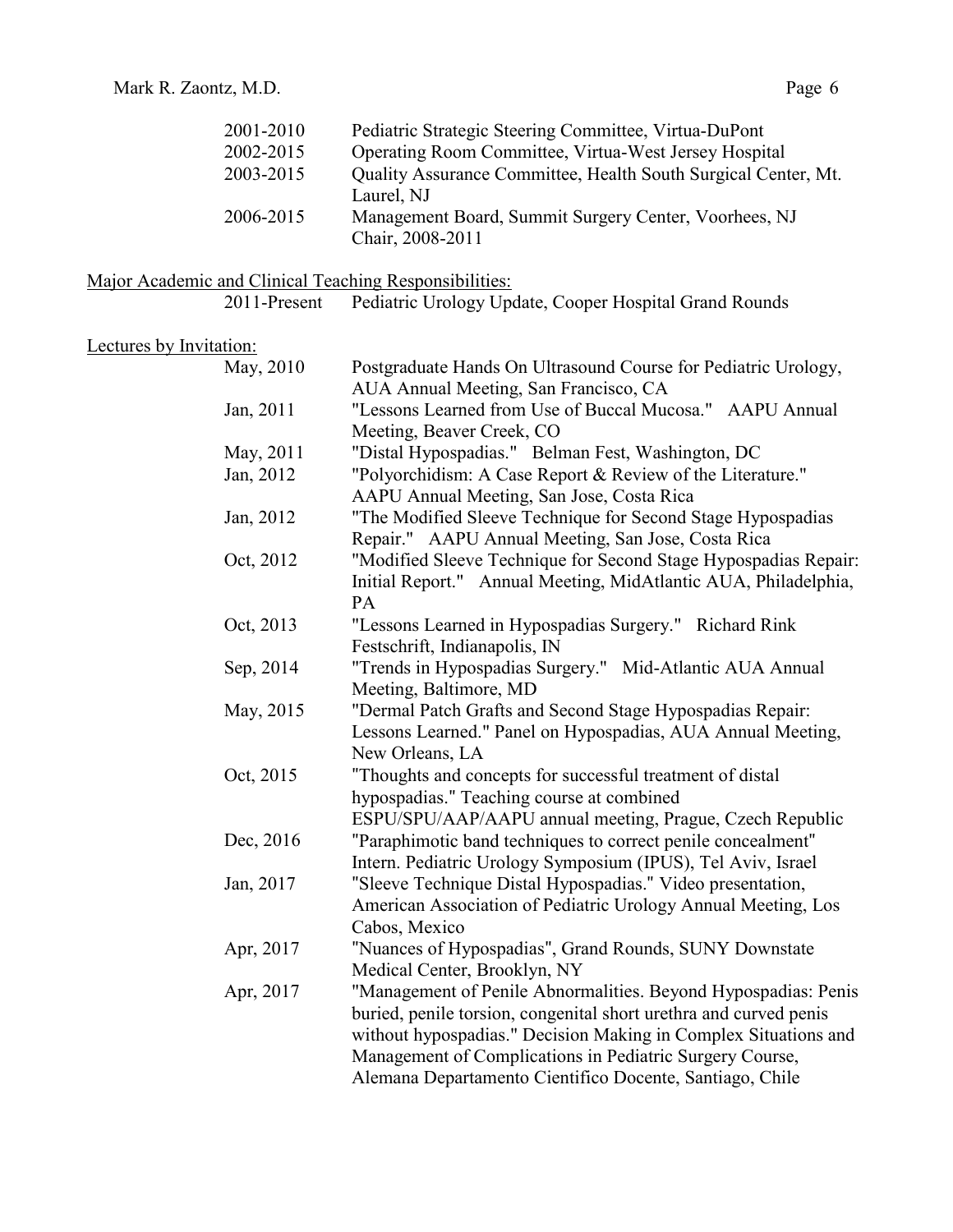| 2001-2010 | Pediatric Strategic Steering Committee, Virtua-DuPont          |
|-----------|----------------------------------------------------------------|
| 2002-2015 | Operating Room Committee, Virtua-West Jersey Hospital          |
| 2003-2015 | Quality Assurance Committee, Health South Surgical Center, Mt. |
|           | Laurel, NJ                                                     |
| 2006-2015 | Management Board, Summit Surgery Center, Voorhees, NJ          |
|           | Chair, 2008-2011                                               |

## Major Academic and Clinical Teaching Responsibilities:

2011-Present Pediatric Urology Update, Cooper Hospital Grand Rounds

## Lectures by Invitation:

| May, 2010 | Postgraduate Hands On Ultrasound Course for Pediatric Urology,    |
|-----------|-------------------------------------------------------------------|
|           | AUA Annual Meeting, San Francisco, CA                             |
| Jan, 2011 | "Lessons Learned from Use of Buccal Mucosa." AAPU Annual          |
|           | Meeting, Beaver Creek, CO                                         |
| May, 2011 | "Distal Hypospadias." Belman Fest, Washington, DC                 |
| Jan, 2012 | "Polyorchidism: A Case Report & Review of the Literature."        |
|           | AAPU Annual Meeting, San Jose, Costa Rica                         |
| Jan, 2012 | "The Modified Sleeve Technique for Second Stage Hypospadias       |
|           | Repair." AAPU Annual Meeting, San Jose, Costa Rica                |
| Oct, 2012 | "Modified Sleeve Technique for Second Stage Hypospadias Repair:   |
|           | Initial Report." Annual Meeting, MidAtlantic AUA, Philadelphia,   |
|           | PA                                                                |
| Oct, 2013 | "Lessons Learned in Hypospadias Surgery." Richard Rink            |
|           | Festschrift, Indianapolis, IN                                     |
| Sep, 2014 | "Trends in Hypospadias Surgery." Mid-Atlantic AUA Annual          |
|           | Meeting, Baltimore, MD                                            |
| May, 2015 | "Dermal Patch Grafts and Second Stage Hypospadias Repair:         |
|           | Lessons Learned." Panel on Hypospadias, AUA Annual Meeting,       |
|           | New Orleans, LA                                                   |
| Oct, 2015 | "Thoughts and concepts for successful treatment of distal         |
|           | hypospadias." Teaching course at combined                         |
|           | ESPU/SPU/AAP/AAPU annual meeting, Prague, Czech Republic          |
| Dec, 2016 | "Paraphimotic band techniques to correct penile concealment"      |
|           | Intern. Pediatric Urology Symposium (IPUS), Tel Aviv, Israel      |
| Jan, 2017 | "Sleeve Technique Distal Hypospadias." Video presentation,        |
|           | American Association of Pediatric Urology Annual Meeting, Los     |
|           | Cabos, Mexico                                                     |
| Apr, 2017 | "Nuances of Hypospadias", Grand Rounds, SUNY Downstate            |
|           | Medical Center, Brooklyn, NY                                      |
| Apr, 2017 | "Management of Penile Abnormalities. Beyond Hypospadias: Penis    |
|           | buried, penile torsion, congenital short urethra and curved penis |
|           | without hypospadias." Decision Making in Complex Situations and   |
|           | Management of Complications in Pediatric Surgery Course,          |
|           | Alemana Departamento Cientifico Docente, Santiago, Chile          |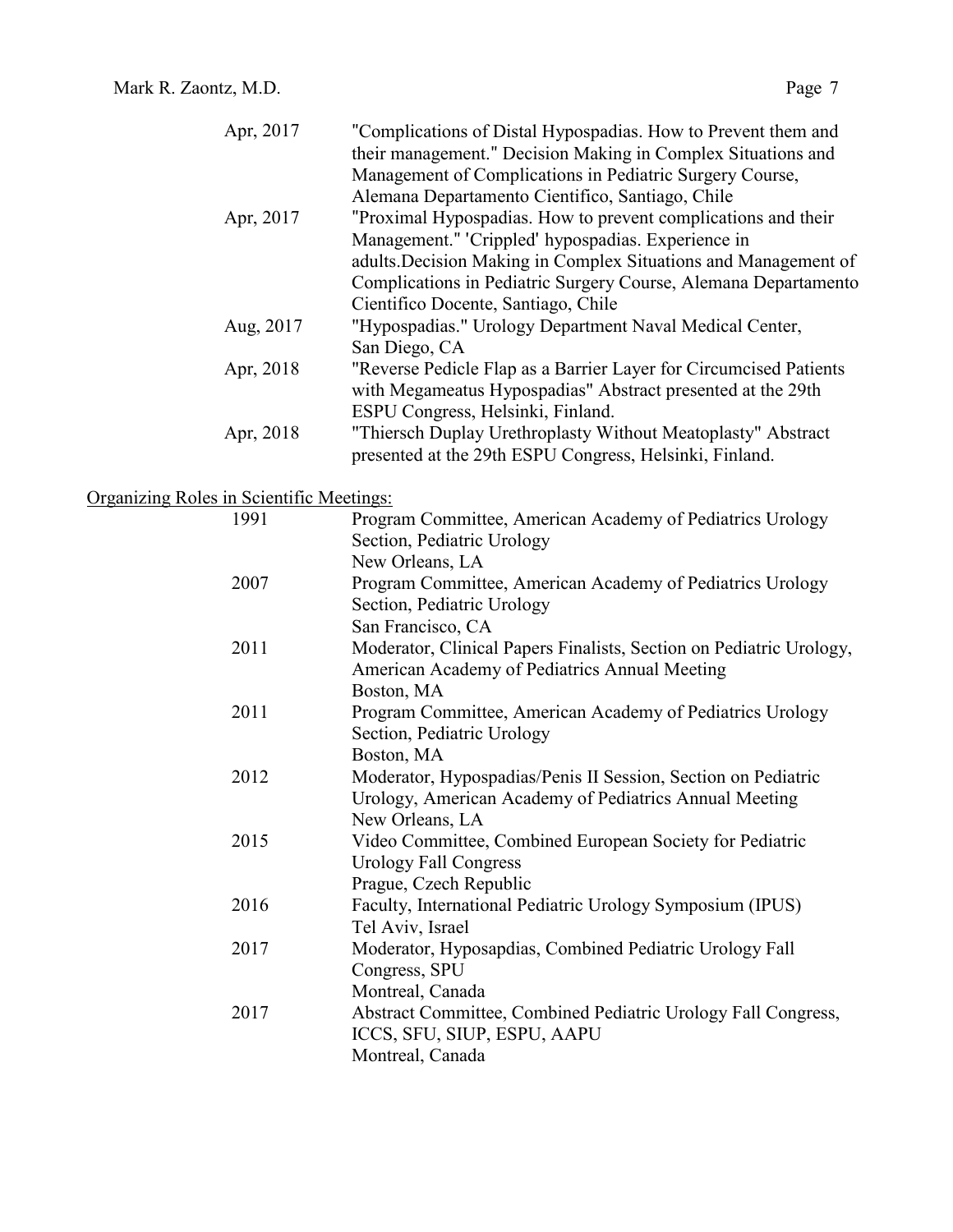| Apr, 2017 | "Complications of Distal Hypospadias. How to Prevent them and     |
|-----------|-------------------------------------------------------------------|
|           | their management." Decision Making in Complex Situations and      |
|           | Management of Complications in Pediatric Surgery Course,          |
|           | Alemana Departamento Cientifico, Santiago, Chile                  |
| Apr, 2017 | "Proximal Hypospadias. How to prevent complications and their     |
|           | Management." 'Crippled' hypospadias. Experience in                |
|           | adults. Decision Making in Complex Situations and Management of   |
|           | Complications in Pediatric Surgery Course, Alemana Departamento   |
|           | Cientifico Docente, Santiago, Chile                               |
| Aug, 2017 | "Hypospadias." Urology Department Naval Medical Center,           |
|           | San Diego, CA                                                     |
| Apr, 2018 | "Reverse Pedicle Flap as a Barrier Layer for Circumcised Patients |
|           | with Megameatus Hypospadias" Abstract presented at the 29th       |
|           | ESPU Congress, Helsinki, Finland.                                 |
| Apr, 2018 | "Thiersch Duplay Urethroplasty Without Meatoplasty" Abstract      |
|           | presented at the 29th ESPU Congress, Helsinki, Finland.           |

# Organizing Roles in Scientific Meetings:

| 1991 | Program Committee, American Academy of Pediatrics Urology<br>Section, Pediatric Urology |
|------|-----------------------------------------------------------------------------------------|
|      | New Orleans, LA                                                                         |
| 2007 | Program Committee, American Academy of Pediatrics Urology                               |
|      | Section, Pediatric Urology                                                              |
|      | San Francisco, CA                                                                       |
| 2011 | Moderator, Clinical Papers Finalists, Section on Pediatric Urology,                     |
|      | American Academy of Pediatrics Annual Meeting                                           |
|      | Boston, MA                                                                              |
| 2011 | Program Committee, American Academy of Pediatrics Urology                               |
|      | Section, Pediatric Urology                                                              |
|      | Boston, MA                                                                              |
| 2012 | Moderator, Hypospadias/Penis II Session, Section on Pediatric                           |
|      | Urology, American Academy of Pediatrics Annual Meeting                                  |
|      | New Orleans, LA                                                                         |
| 2015 | Video Committee, Combined European Society for Pediatric                                |
|      | <b>Urology Fall Congress</b>                                                            |
|      | Prague, Czech Republic                                                                  |
| 2016 | Faculty, International Pediatric Urology Symposium (IPUS)                               |
|      | Tel Aviv, Israel                                                                        |
| 2017 | Moderator, Hyposapdias, Combined Pediatric Urology Fall                                 |
|      | Congress, SPU                                                                           |
|      | Montreal, Canada                                                                        |
| 2017 | Abstract Committee, Combined Pediatric Urology Fall Congress,                           |
|      | ICCS, SFU, SIUP, ESPU, AAPU                                                             |
|      | Montreal, Canada                                                                        |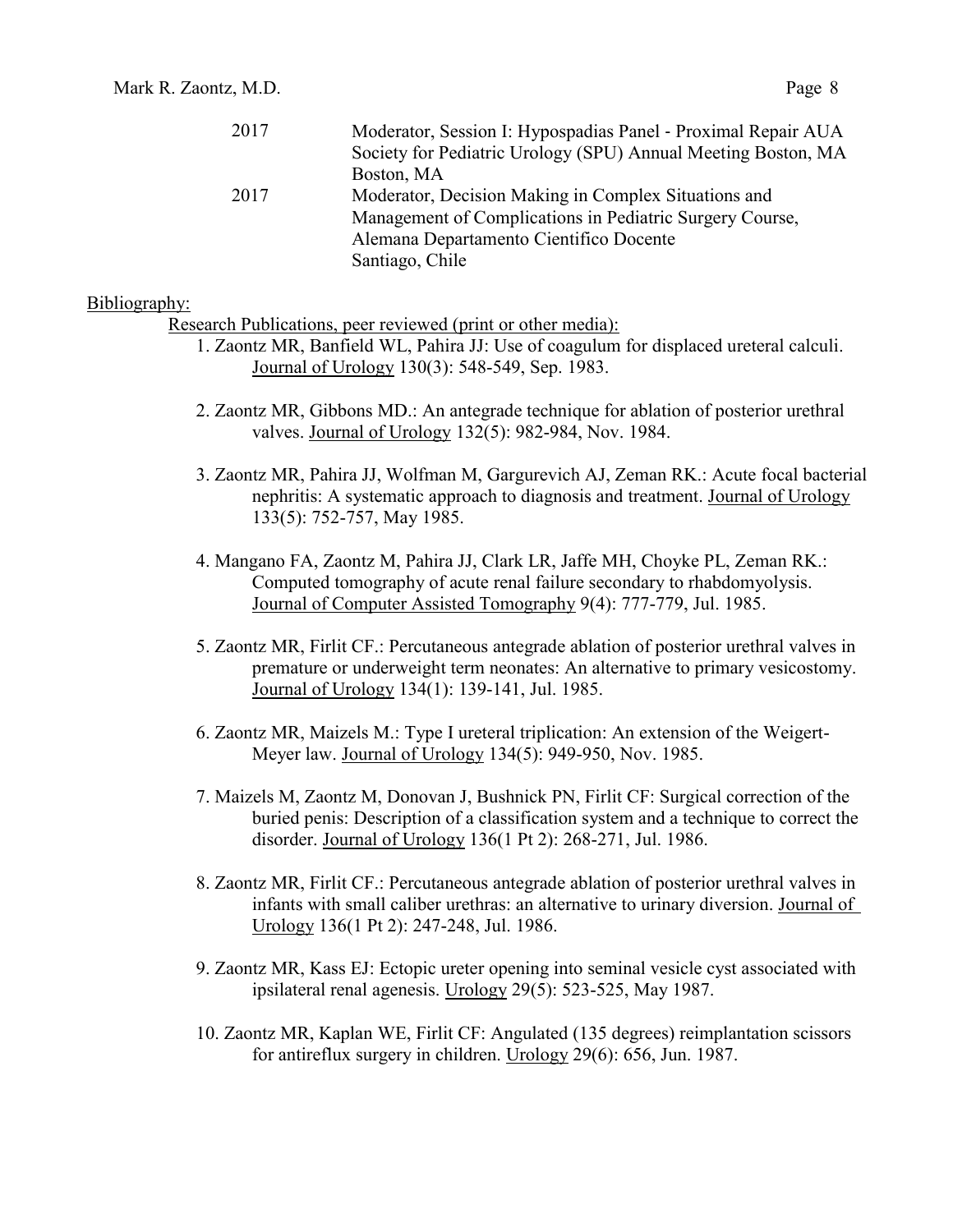| Moderator, Session I: Hypospadias Panel - Proximal Repair AUA |
|---------------------------------------------------------------|
| Society for Pediatric Urology (SPU) Annual Meeting Boston, MA |
| Boston, MA                                                    |
| Moderator, Decision Making in Complex Situations and          |
| Management of Complications in Pediatric Surgery Course,      |
| Alemana Departamento Científico Docente                       |
| Santiago, Chile                                               |
|                                                               |

#### Bibliography:

Research Publications, peer reviewed (print or other media):

- 1. Zaontz MR, Banfield WL, Pahira JJ: Use of coagulum for displaced ureteral calculi. Journal of Urology 130(3): 548-549, Sep. 1983.
- 2. Zaontz MR, Gibbons MD.: An antegrade technique for ablation of posterior urethral valves. Journal of Urology 132(5): 982-984, Nov. 1984.
- 3. Zaontz MR, Pahira JJ, Wolfman M, Gargurevich AJ, Zeman RK.: Acute focal bacterial nephritis: A systematic approach to diagnosis and treatment. Journal of Urology 133(5): 752-757, May 1985.
- 4. Mangano FA, Zaontz M, Pahira JJ, Clark LR, Jaffe MH, Choyke PL, Zeman RK.: Computed tomography of acute renal failure secondary to rhabdomyolysis. Journal of Computer Assisted Tomography 9(4): 777-779, Jul. 1985.
- 5. Zaontz MR, Firlit CF.: Percutaneous antegrade ablation of posterior urethral valves in premature or underweight term neonates: An alternative to primary vesicostomy. Journal of Urology 134(1): 139-141, Jul. 1985.
- 6. Zaontz MR, Maizels M.: Type I ureteral triplication: An extension of the Weigert-Meyer law. Journal of Urology 134(5): 949-950, Nov. 1985.
- 7. Maizels M, Zaontz M, Donovan J, Bushnick PN, Firlit CF: Surgical correction of the buried penis: Description of a classification system and a technique to correct the disorder. Journal of Urology 136(1 Pt 2): 268-271, Jul. 1986.
- 8. Zaontz MR, Firlit CF.: Percutaneous antegrade ablation of posterior urethral valves in infants with small caliber urethras: an alternative to urinary diversion. Journal of Urology 136(1 Pt 2): 247-248, Jul. 1986.
- 9. Zaontz MR, Kass EJ: Ectopic ureter opening into seminal vesicle cyst associated with ipsilateral renal agenesis. Urology 29(5): 523-525, May 1987.
- 10. Zaontz MR, Kaplan WE, Firlit CF: Angulated (135 degrees) reimplantation scissors for antireflux surgery in children. Urology 29(6): 656, Jun. 1987.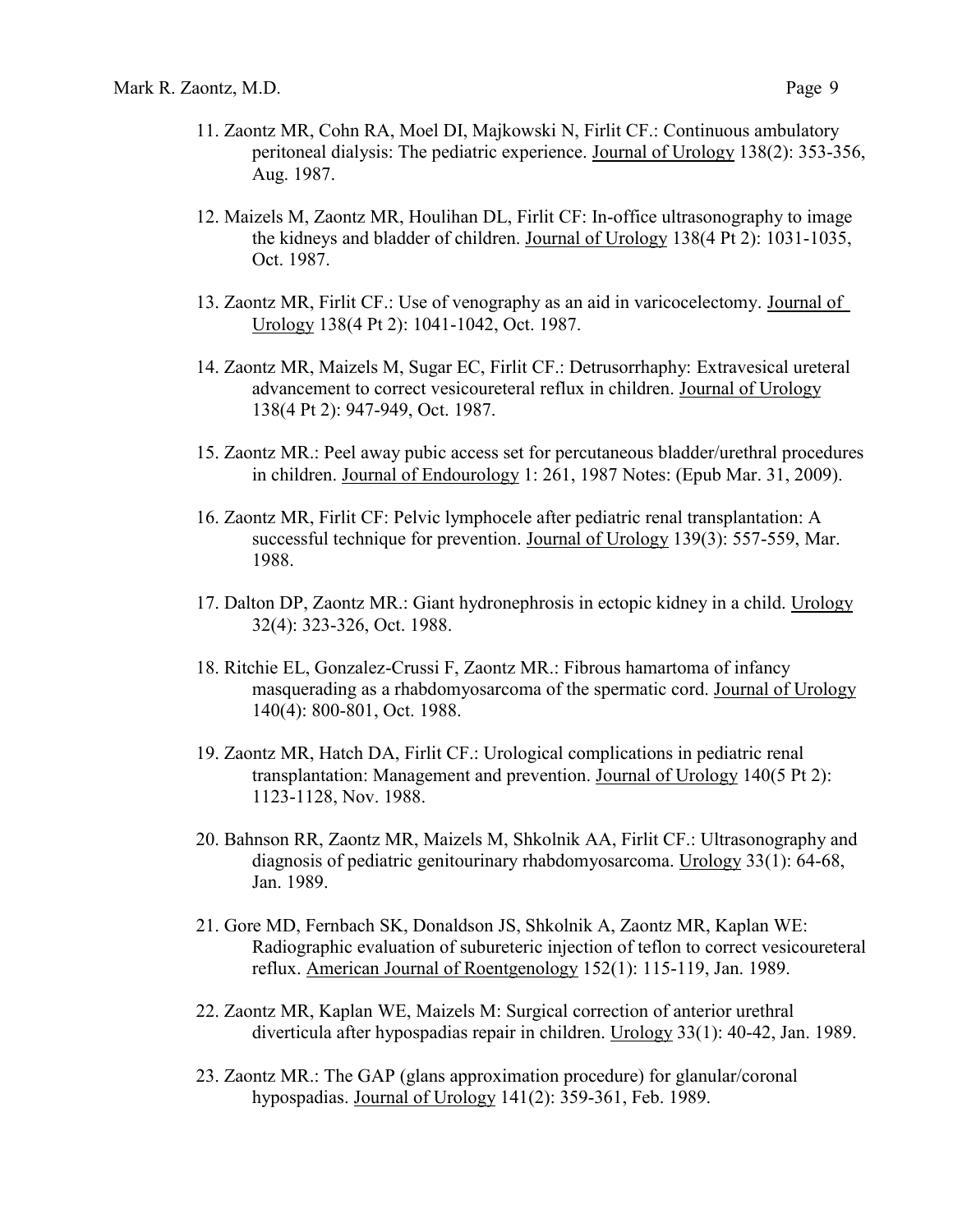- 11. Zaontz MR, Cohn RA, Moel DI, Majkowski N, Firlit CF.: Continuous ambulatory peritoneal dialysis: The pediatric experience. Journal of Urology 138(2): 353-356, Aug. 1987.
- 12. Maizels M, Zaontz MR, Houlihan DL, Firlit CF: In-office ultrasonography to image the kidneys and bladder of children. Journal of Urology 138(4 Pt 2): 1031-1035, Oct. 1987.
- 13. Zaontz MR, Firlit CF.: Use of venography as an aid in varicocelectomy. Journal of Urology 138(4 Pt 2): 1041-1042, Oct. 1987.
- 14. Zaontz MR, Maizels M, Sugar EC, Firlit CF.: Detrusorrhaphy: Extravesical ureteral advancement to correct vesicoureteral reflux in children. Journal of Urology 138(4 Pt 2): 947-949, Oct. 1987.
- 15. Zaontz MR.: Peel away pubic access set for percutaneous bladder/urethral procedures in children. Journal of Endourology 1: 261, 1987 Notes: (Epub Mar. 31, 2009).
- 16. Zaontz MR, Firlit CF: Pelvic lymphocele after pediatric renal transplantation: A successful technique for prevention. Journal of Urology 139(3): 557-559, Mar. 1988.
- 17. Dalton DP, Zaontz MR.: Giant hydronephrosis in ectopic kidney in a child. Urology 32(4): 323-326, Oct. 1988.
- 18. Ritchie EL, Gonzalez-Crussi F, Zaontz MR.: Fibrous hamartoma of infancy masquerading as a rhabdomyosarcoma of the spermatic cord. Journal of Urology 140(4): 800-801, Oct. 1988.
- 19. Zaontz MR, Hatch DA, Firlit CF.: Urological complications in pediatric renal transplantation: Management and prevention. Journal of Urology 140(5 Pt 2): 1123-1128, Nov. 1988.
- 20. Bahnson RR, Zaontz MR, Maizels M, Shkolnik AA, Firlit CF.: Ultrasonography and diagnosis of pediatric genitourinary rhabdomyosarcoma. Urology 33(1): 64-68, Jan. 1989.
- 21. Gore MD, Fernbach SK, Donaldson JS, Shkolnik A, Zaontz MR, Kaplan WE: Radiographic evaluation of subureteric injection of teflon to correct vesicoureteral reflux. American Journal of Roentgenology 152(1): 115-119, Jan. 1989.
- 22. Zaontz MR, Kaplan WE, Maizels M: Surgical correction of anterior urethral diverticula after hypospadias repair in children. Urology 33(1): 40-42, Jan. 1989.
- 23. Zaontz MR.: The GAP (glans approximation procedure) for glanular/coronal hypospadias. Journal of Urology 141(2): 359-361, Feb. 1989.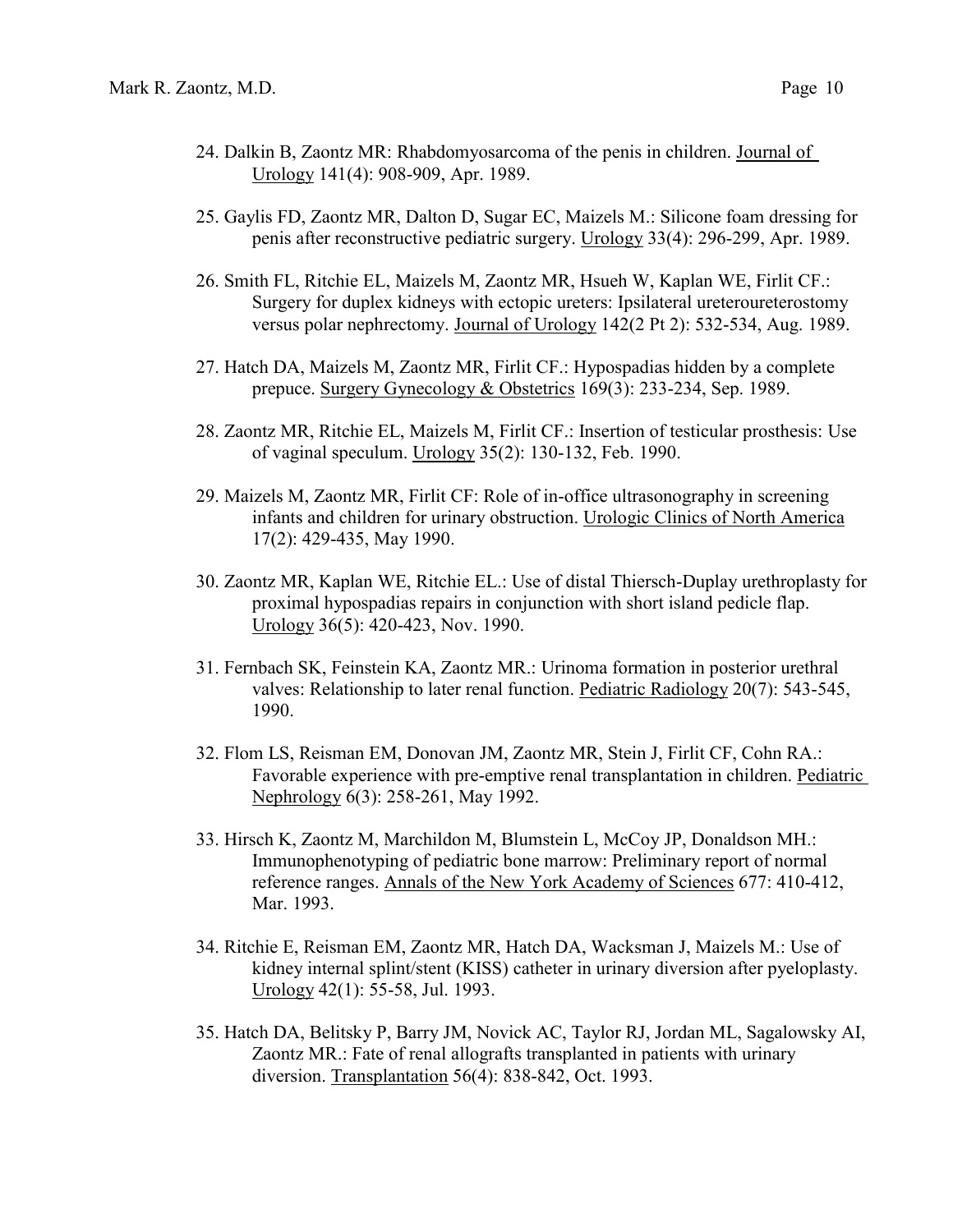- 24. Dalkin B, Zaontz MR: Rhabdomyosarcoma of the penis in children. Journal of Urology 141(4): 908-909, Apr. 1989.
- 25. Gaylis FD, Zaontz MR, Dalton D, Sugar EC, Maizels M.: Silicone foam dressing for penis after reconstructive pediatric surgery. Urology 33(4): 296-299, Apr. 1989.
- 26. Smith FL, Ritchie EL, Maizels M, Zaontz MR, Hsueh W, Kaplan WE, Firlit CF.: Surgery for duplex kidneys with ectopic ureters: Ipsilateral ureteroureterostomy versus polar nephrectomy. Journal of Urology 142(2 Pt 2): 532-534, Aug. 1989.
- 27. Hatch DA, Maizels M, Zaontz MR, Firlit CF.: Hypospadias hidden by a complete prepuce. Surgery Gynecology & Obstetrics 169(3): 233-234, Sep. 1989.
- 28. Zaontz MR, Ritchie EL, Maizels M, Firlit CF.: Insertion of testicular prosthesis: Use of vaginal speculum. Urology 35(2): 130-132, Feb. 1990.
- 29. Maizels M, Zaontz MR, Firlit CF: Role of in-office ultrasonography in screening infants and children for urinary obstruction. Urologic Clinics of North America 17(2): 429-435, May 1990.
- 30. Zaontz MR, Kaplan WE, Ritchie EL.: Use of distal Thiersch-Duplay urethroplasty for proximal hypospadias repairs in conjunction with short island pedicle flap. Urology 36(5): 420-423, Nov. 1990.
- 31. Fernbach SK, Feinstein KA, Zaontz MR.: Urinoma formation in posterior urethral valves: Relationship to later renal function. Pediatric Radiology 20(7): 543-545, 1990.
- 32. Flom LS, Reisman EM, Donovan JM, Zaontz MR, Stein J, Firlit CF, Cohn RA.: Favorable experience with pre-emptive renal transplantation in children. Pediatric Nephrology 6(3): 258-261, May 1992.
- 33. Hirsch K, Zaontz M, Marchildon M, Blumstein L, McCoy JP, Donaldson MH.: Immunophenotyping of pediatric bone marrow: Preliminary report of normal reference ranges. Annals of the New York Academy of Sciences 677: 410-412, Mar. 1993.
- 34. Ritchie E, Reisman EM, Zaontz MR, Hatch DA, Wacksman J, Maizels M.: Use of kidney internal splint/stent (KISS) catheter in urinary diversion after pyeloplasty. Urology 42(1): 55-58, Jul. 1993.
- 35. Hatch DA, Belitsky P, Barry JM, Novick AC, Taylor RJ, Jordan ML, Sagalowsky AI, Zaontz MR.: Fate of renal allografts transplanted in patients with urinary diversion. Transplantation 56(4): 838-842, Oct. 1993.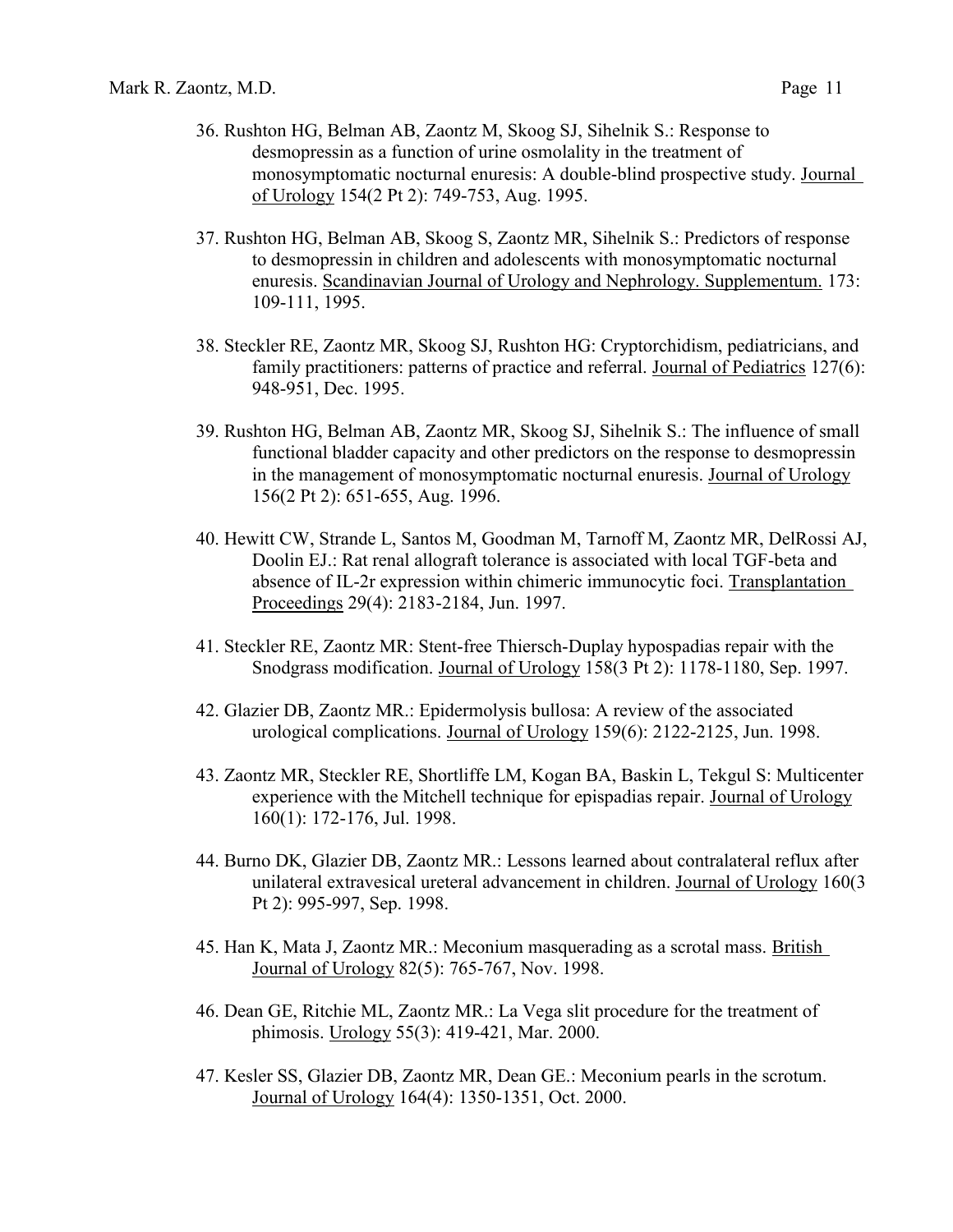- 36. Rushton HG, Belman AB, Zaontz M, Skoog SJ, Sihelnik S.: Response to desmopressin as a function of urine osmolality in the treatment of monosymptomatic nocturnal enuresis: A double-blind prospective study. Journal of Urology 154(2 Pt 2): 749-753, Aug. 1995.
- 37. Rushton HG, Belman AB, Skoog S, Zaontz MR, Sihelnik S.: Predictors of response to desmopressin in children and adolescents with monosymptomatic nocturnal enuresis. Scandinavian Journal of Urology and Nephrology. Supplementum. 173: 109-111, 1995.
- 38. Steckler RE, Zaontz MR, Skoog SJ, Rushton HG: Cryptorchidism, pediatricians, and family practitioners: patterns of practice and referral. Journal of Pediatrics 127(6): 948-951, Dec. 1995.
- 39. Rushton HG, Belman AB, Zaontz MR, Skoog SJ, Sihelnik S.: The influence of small functional bladder capacity and other predictors on the response to desmopressin in the management of monosymptomatic nocturnal enuresis. Journal of Urology 156(2 Pt 2): 651-655, Aug. 1996.
- 40. Hewitt CW, Strande L, Santos M, Goodman M, Tarnoff M, Zaontz MR, DelRossi AJ, Doolin EJ.: Rat renal allograft tolerance is associated with local TGF-beta and absence of IL-2r expression within chimeric immunocytic foci. Transplantation Proceedings 29(4): 2183-2184, Jun. 1997.
- 41. Steckler RE, Zaontz MR: Stent-free Thiersch-Duplay hypospadias repair with the Snodgrass modification. Journal of Urology 158(3 Pt 2): 1178-1180, Sep. 1997.
- 42. Glazier DB, Zaontz MR.: Epidermolysis bullosa: A review of the associated urological complications. Journal of Urology 159(6): 2122-2125, Jun. 1998.
- 43. Zaontz MR, Steckler RE, Shortliffe LM, Kogan BA, Baskin L, Tekgul S: Multicenter experience with the Mitchell technique for epispadias repair. Journal of Urology 160(1): 172-176, Jul. 1998.
- 44. Burno DK, Glazier DB, Zaontz MR.: Lessons learned about contralateral reflux after unilateral extravesical ureteral advancement in children. Journal of Urology 160(3 Pt 2): 995-997, Sep. 1998.
- 45. Han K, Mata J, Zaontz MR.: Meconium masquerading as a scrotal mass. British Journal of Urology 82(5): 765-767, Nov. 1998.
- 46. Dean GE, Ritchie ML, Zaontz MR.: La Vega slit procedure for the treatment of phimosis. Urology 55(3): 419-421, Mar. 2000.
- 47. Kesler SS, Glazier DB, Zaontz MR, Dean GE.: Meconium pearls in the scrotum. Journal of Urology 164(4): 1350-1351, Oct. 2000.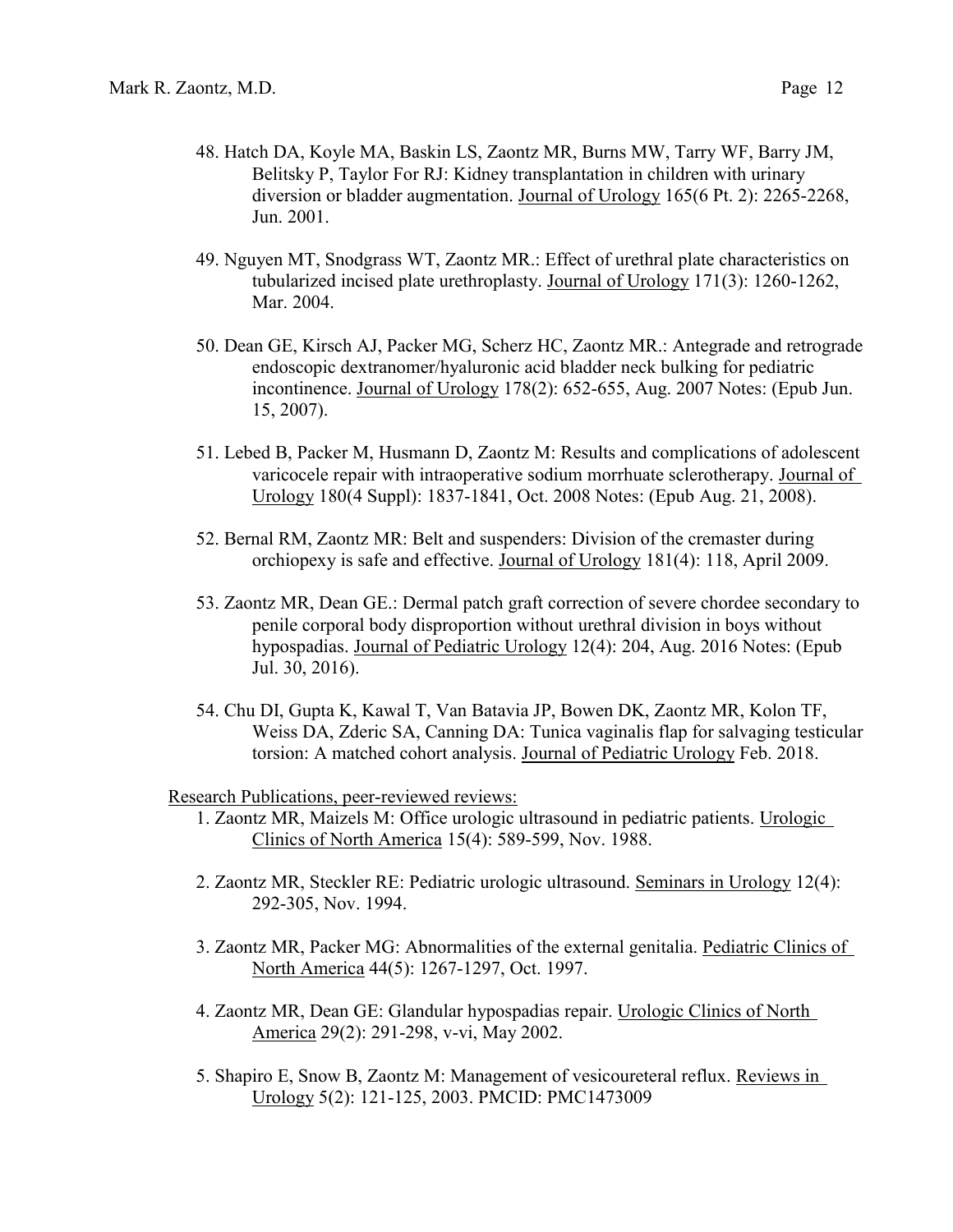- 48. Hatch DA, Koyle MA, Baskin LS, Zaontz MR, Burns MW, Tarry WF, Barry JM, Belitsky P, Taylor For RJ: Kidney transplantation in children with urinary diversion or bladder augmentation. Journal of Urology 165(6 Pt. 2): 2265-2268, Jun. 2001.
- 49. Nguyen MT, Snodgrass WT, Zaontz MR.: Effect of urethral plate characteristics on tubularized incised plate urethroplasty. Journal of Urology 171(3): 1260-1262, Mar. 2004.
- 50. Dean GE, Kirsch AJ, Packer MG, Scherz HC, Zaontz MR.: Antegrade and retrograde endoscopic dextranomer/hyaluronic acid bladder neck bulking for pediatric incontinence. Journal of Urology 178(2): 652-655, Aug. 2007 Notes: (Epub Jun. 15, 2007).
- 51. Lebed B, Packer M, Husmann D, Zaontz M: Results and complications of adolescent varicocele repair with intraoperative sodium morrhuate sclerotherapy. Journal of Urology 180(4 Suppl): 1837-1841, Oct. 2008 Notes: (Epub Aug. 21, 2008).
- 52. Bernal RM, Zaontz MR: Belt and suspenders: Division of the cremaster during orchiopexy is safe and effective. Journal of Urology 181(4): 118, April 2009.
- 53. Zaontz MR, Dean GE.: Dermal patch graft correction of severe chordee secondary to penile corporal body disproportion without urethral division in boys without hypospadias. Journal of Pediatric Urology 12(4): 204, Aug. 2016 Notes: (Epub Jul. 30, 2016).
- 54. Chu DI, Gupta K, Kawal T, Van Batavia JP, Bowen DK, Zaontz MR, Kolon TF, Weiss DA, Zderic SA, Canning DA: Tunica vaginalis flap for salvaging testicular torsion: A matched cohort analysis. Journal of Pediatric Urology Feb. 2018.

Research Publications, peer-reviewed reviews:

- 1. Zaontz MR, Maizels M: Office urologic ultrasound in pediatric patients. Urologic Clinics of North America 15(4): 589-599, Nov. 1988.
- 2. Zaontz MR, Steckler RE: Pediatric urologic ultrasound. Seminars in Urology 12(4): 292-305, Nov. 1994.
- 3. Zaontz MR, Packer MG: Abnormalities of the external genitalia. Pediatric Clinics of North America 44(5): 1267-1297, Oct. 1997.
- 4. Zaontz MR, Dean GE: Glandular hypospadias repair. Urologic Clinics of North America 29(2): 291-298, v-vi, May 2002.
- 5. Shapiro E, Snow B, Zaontz M: Management of vesicoureteral reflux. Reviews in Urology 5(2): 121-125, 2003. PMCID: PMC1473009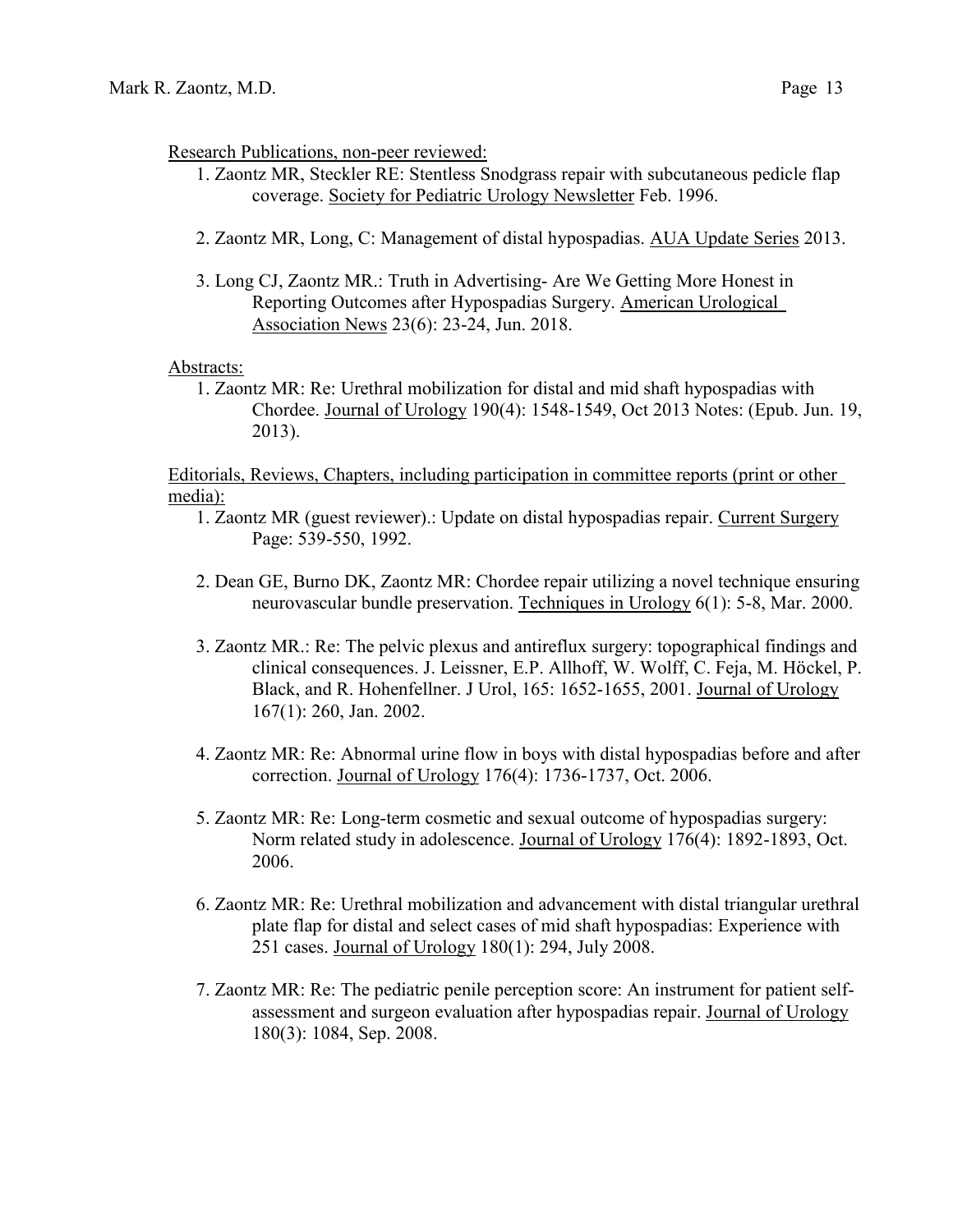#### Research Publications, non-peer reviewed:

- 1. Zaontz MR, Steckler RE: Stentless Snodgrass repair with subcutaneous pedicle flap coverage. Society for Pediatric Urology Newsletter Feb. 1996.
- 2. Zaontz MR, Long, C: Management of distal hypospadias. AUA Update Series 2013.
- 3. Long CJ, Zaontz MR.: Truth in Advertising- Are We Getting More Honest in Reporting Outcomes after Hypospadias Surgery. American Urological Association News 23(6): 23-24, Jun. 2018.

#### Abstracts:

1. Zaontz MR: Re: Urethral mobilization for distal and mid shaft hypospadias with Chordee. Journal of Urology 190(4): 1548-1549, Oct 2013 Notes: (Epub. Jun. 19, 2013).

Editorials, Reviews, Chapters, including participation in committee reports (print or other media):

- 1. Zaontz MR (guest reviewer).: Update on distal hypospadias repair. Current Surgery Page: 539-550, 1992.
- 2. Dean GE, Burno DK, Zaontz MR: Chordee repair utilizing a novel technique ensuring neurovascular bundle preservation. Techniques in Urology 6(1): 5-8, Mar. 2000.
- 3. Zaontz MR.: Re: The pelvic plexus and antireflux surgery: topographical findings and clinical consequences. J. Leissner, E.P. Allhoff, W. Wolff, C. Feja, M. Höckel, P. Black, and R. Hohenfellner. J Urol, 165: 1652-1655, 2001. Journal of Urology 167(1): 260, Jan. 2002.
- 4. Zaontz MR: Re: Abnormal urine flow in boys with distal hypospadias before and after correction. Journal of Urology 176(4): 1736-1737, Oct. 2006.
- 5. Zaontz MR: Re: Long-term cosmetic and sexual outcome of hypospadias surgery: Norm related study in adolescence. Journal of Urology 176(4): 1892-1893, Oct. 2006.
- 6. Zaontz MR: Re: Urethral mobilization and advancement with distal triangular urethral plate flap for distal and select cases of mid shaft hypospadias: Experience with 251 cases. Journal of Urology 180(1): 294, July 2008.
- 7. Zaontz MR: Re: The pediatric penile perception score: An instrument for patient selfassessment and surgeon evaluation after hypospadias repair. Journal of Urology 180(3): 1084, Sep. 2008.